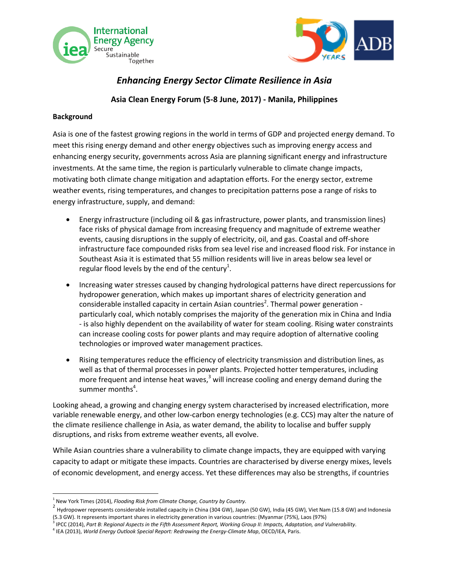



## *Enhancing Energy Sector Climate Resilience in Asia*

### **Asia Clean Energy Forum (5-8 June, 2017) - Manila, Philippines**

#### **Background**

 $\overline{\phantom{a}}$ 

Asia is one of the fastest growing regions in the world in terms of GDP and projected energy demand. To meet this rising energy demand and other energy objectives such as improving energy access and enhancing energy security, governments across Asia are planning significant energy and infrastructure investments. At the same time, the region is particularly vulnerable to climate change impacts, motivating both climate change mitigation and adaptation efforts. For the energy sector, extreme weather events, rising temperatures, and changes to precipitation patterns pose a range of risks to energy infrastructure, supply, and demand:

- Energy infrastructure (including oil & gas infrastructure, power plants, and transmission lines) face risks of physical damage from increasing frequency and magnitude of extreme weather events, causing disruptions in the supply of electricity, oil, and gas. Coastal and off-shore infrastructure face compounded risks from sea level rise and increased flood risk. For instance in Southeast Asia it is estimated that 55 million residents will live in areas below sea level or regular flood levels by the end of the century<sup>1</sup>.
- Increasing water stresses caused by changing hydrological patterns have direct repercussions for hydropower generation, which makes up important shares of electricity generation and considerable installed capacity in certain Asian countries<sup>2</sup>. Thermal power generation particularly coal, which notably comprises the majority of the generation mix in China and India - is also highly dependent on the availability of water for steam cooling. Rising water constraints can increase cooling costs for power plants and may require adoption of alternative cooling technologies or improved water management practices.
- Rising temperatures reduce the efficiency of electricity transmission and distribution lines, as well as that of thermal processes in power plants. Projected hotter temperatures, including more frequent and intense heat waves, $3$  will increase cooling and energy demand during the summer months<sup>4</sup>.

Looking ahead, a growing and changing energy system characterised by increased electrification, more variable renewable energy, and other low-carbon energy technologies (e.g. CCS) may alter the nature of the climate resilience challenge in Asia, as water demand, the ability to localise and buffer supply disruptions, and risks from extreme weather events, all evolve.

While Asian countries share a vulnerability to climate change impacts, they are equipped with varying capacity to adapt or mitigate these impacts. Countries are characterised by diverse energy mixes, levels of economic development, and energy access. Yet these differences may also be strengths, if countries

<sup>1</sup> New York Times (2014), *Flooding Risk from Climate Change, Country by Country.*

<sup>&</sup>lt;sup>2</sup> Hydropower represents considerable installed capacity in China (304 GW), Japan (50 GW), India (45 GW), Viet Nam (15.8 GW) and Indonesia (5.3 GW). It represents important shares in electricity generation in various countries: (Myanmar (75%), Laos (97%)

<sup>3</sup> IPCC (2014), *Part B: Regional Aspects in the Fifth Assessment Report, Working Group II: Impacts, Adaptation, and Vulnerability.*

<sup>4</sup> IEA (2013), *World Energy Outlook Special Report: Redrawing the Energy-Climate Map*, OECD/IEA, Paris.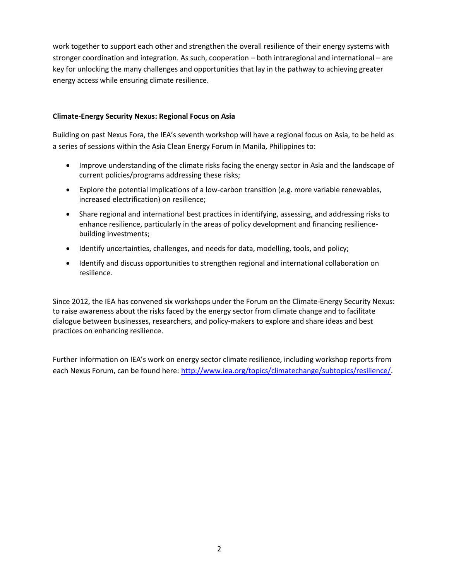work together to support each other and strengthen the overall resilience of their energy systems with stronger coordination and integration. As such, cooperation – both intraregional and international – are key for unlocking the many challenges and opportunities that lay in the pathway to achieving greater energy access while ensuring climate resilience.

#### **Climate-Energy Security Nexus: Regional Focus on Asia**

Building on past Nexus Fora, the IEA's seventh workshop will have a regional focus on Asia, to be held as a series of sessions within the Asia Clean Energy Forum in Manila, Philippines to:

- Improve understanding of the climate risks facing the energy sector in Asia and the landscape of current policies/programs addressing these risks;
- Explore the potential implications of a low-carbon transition (e.g. more variable renewables, increased electrification) on resilience;
- Share regional and international best practices in identifying, assessing, and addressing risks to enhance resilience, particularly in the areas of policy development and financing resiliencebuilding investments;
- Identify uncertainties, challenges, and needs for data, modelling, tools, and policy;
- Identify and discuss opportunities to strengthen regional and international collaboration on resilience.

Since 2012, the IEA has convened six workshops under the Forum on the Climate-Energy Security Nexus: to raise awareness about the risks faced by the energy sector from climate change and to facilitate dialogue between businesses, researchers, and policy-makers to explore and share ideas and best practices on enhancing resilience.

Further information on IEA's work on energy sector climate resilience, including workshop reports from each Nexus Forum, can be found here: [http://www.iea.org/topics/climatechange/subtopics/resilience/.](http://www.iea.org/topics/climatechange/subtopics/resilience/)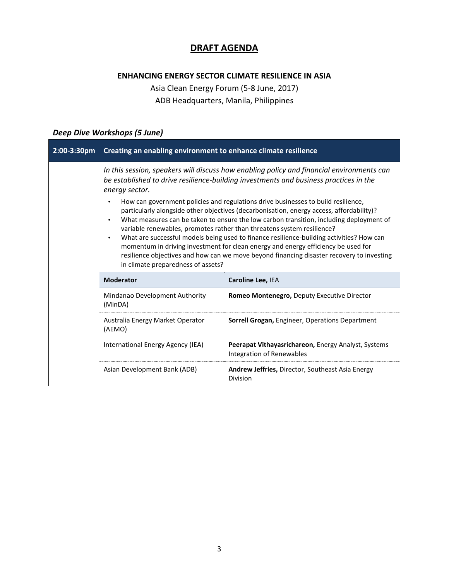## **DRAFT AGENDA**

### **ENHANCING ENERGY SECTOR CLIMATE RESILIENCE IN ASIA**

Asia Clean Energy Forum (5-8 June, 2017) ADB Headquarters, Manila, Philippines

### *Deep Dive Workshops (5 June)*

| 2:00-3:30pm | Creating an enabling environment to enhance climate resilience                                                                                                                                                                                                                                                                                                                                                                                                                                                                                                                                                                                                                                                                                                                                                                                                                                           |                                                                                  |
|-------------|----------------------------------------------------------------------------------------------------------------------------------------------------------------------------------------------------------------------------------------------------------------------------------------------------------------------------------------------------------------------------------------------------------------------------------------------------------------------------------------------------------------------------------------------------------------------------------------------------------------------------------------------------------------------------------------------------------------------------------------------------------------------------------------------------------------------------------------------------------------------------------------------------------|----------------------------------------------------------------------------------|
|             | In this session, speakers will discuss how enabling policy and financial environments can<br>be established to drive resilience-building investments and business practices in the<br>energy sector.<br>How can government policies and regulations drive businesses to build resilience,<br>$\bullet$<br>particularly alongside other objectives (decarbonisation, energy access, affordability)?<br>What measures can be taken to ensure the low carbon transition, including deployment of<br>variable renewables, promotes rather than threatens system resilience?<br>What are successful models being used to finance resilience-building activities? How can<br>$\bullet$<br>momentum in driving investment for clean energy and energy efficiency be used for<br>resilience objectives and how can we move beyond financing disaster recovery to investing<br>in climate preparedness of assets? |                                                                                  |
|             | <b>Moderator</b>                                                                                                                                                                                                                                                                                                                                                                                                                                                                                                                                                                                                                                                                                                                                                                                                                                                                                         | Caroline Lee, IEA                                                                |
|             | Mindanao Development Authority<br>(MinDA)                                                                                                                                                                                                                                                                                                                                                                                                                                                                                                                                                                                                                                                                                                                                                                                                                                                                | Romeo Montenegro, Deputy Executive Director                                      |
|             | Australia Energy Market Operator<br>(AEMO)                                                                                                                                                                                                                                                                                                                                                                                                                                                                                                                                                                                                                                                                                                                                                                                                                                                               | <b>Sorrell Grogan, Engineer, Operations Department</b>                           |
|             | International Energy Agency (IEA)                                                                                                                                                                                                                                                                                                                                                                                                                                                                                                                                                                                                                                                                                                                                                                                                                                                                        | Peerapat Vithayasrichareon, Energy Analyst, Systems<br>Integration of Renewables |
|             | Asian Development Bank (ADB)                                                                                                                                                                                                                                                                                                                                                                                                                                                                                                                                                                                                                                                                                                                                                                                                                                                                             | Andrew Jeffries, Director, Southeast Asia Energy<br>Division                     |